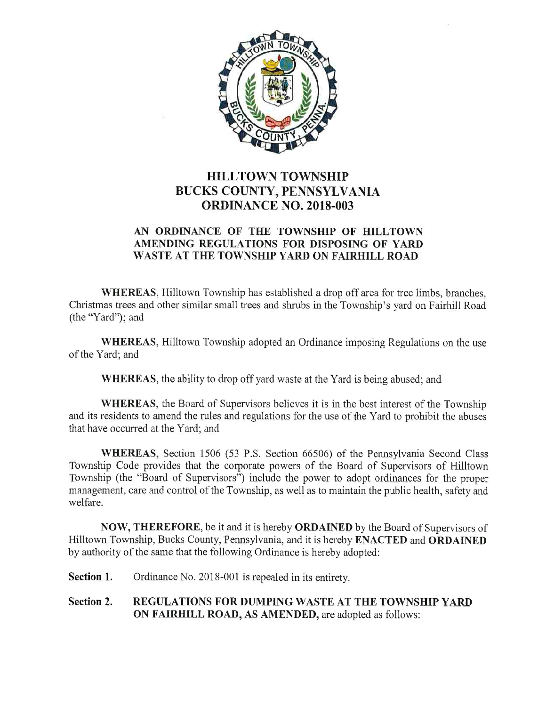

# HILLTOWN TOWNSHIP BUCKS COUNTY, PENNSYLVANIA ORDINANCE N0. 2018-003

## AN ORDINANCE OF THE TOWNSHIP OF HILLTOWN AMENDING REGULATIONS FOR DISPOSING OF YARD WASTE AT THE TOWNSHIP YARD ON FAIRHILL ROAD

WHEREAS, Hilltown Township has established a drop off area for tree limbs, branches, Christmas trees and other similar small trees and shrubs in the Township's yard on Fairhill Road (the "Yard"); and

WHEREAS, Hilltown Township adopted an Ordinance imposing Regulations on the use of the Yard; and

WHEREAS, the ability to drop off yard waste at the Yard is being abused; and

WHEREAS, the Board of Supervisors believes it is in the best interest of the Township and its residents to amend the rules and regulations for the use of the Yard to prohibit the abuses that have occurred at the Yard; and

WHEREAS, Section 1506 (53 P.S. Section 66506) of the Pennsylvania Second Class Township Code provides that the corporate powers of the Board of Supervisors of Hilltown Township (the "Board of Supervisors") include the power to adopt ordinances for the proper management, care and control of the Township, as well as to maintain the public health, safety and welfare.

NOW, THEREFORE, be it and it is hereby ORDAINED by the Board of Supervisors of Hilltown Township, Bucks County, Pennsylvania, and it is hereby **ENACTED** and **ORDAINED** by authority of the same that the following Ordinance is hereby adopted:

Section 1. Ordinance No. 2018-001 is repealed in its entirety.

# Section 2. REGULATIONS FOR DUMPING WASTE AT THE TOWNSHIP YARD ON FAIRHILL ROAD, AS AMENDED, are adopted as follows: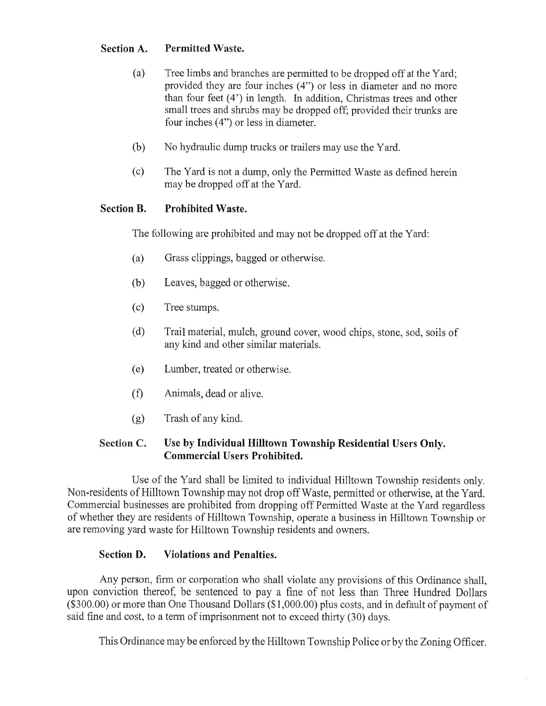## Section A. Permitted Waste.

- (a) Tree limbs and branches are permitted to be dropped off at the Yard; provided they are four inches (4") or less in diameter and no more than four feet (4') in length. In addition, Christmas trees and other small trees and shrubs may be dropped off; provided their trunks are four inches (4") or less in diameter.
- (b) No hydraulic dump tnucks or trailers may use the Yard.
- (c) The Yard is not a dump, only the Permitted Waste as defined herein may be dropped off at the Yard.

# Section B. Prohibited Waste.

The following are prohibited and may not be dropped off at the Yard:

- (a) Grass clippings, bagged or otherwise.
- (b) Leaves, bagged or otherwise.
- (c) Tree stumps.
- (d) Trail material, mulch, ground cover, wood chips, stone, sod, soils of any kind and other similar materials.
- (e) Lumber, treated or otherwise.
- (f) Animals, dead or alive.
- (g) Trash of any kind.

## Section C. Use by Individual Hilltown Township Residential Users Only. Commercial Users Prohibited.

Use of the Yard shall be limited to individual Hilltown Township residents only. Non-residents of Hilltown Township may not drop off Waste, permitted or otherwise, at the Yard. Commercial businesses are prohibited from dropping off Permitted Waste at the Yard regardless of whether they are residents of Hilltown Township, operate a business in Hilltown Township or are removing yard waste for Hilltown Township residents and owners.

## Section D. Violations and Penalties.

Any person, firm or corporation who shall violate any provisions of this Ordinance shall, upon conviction thereof, be sentenced to pay a fine of not less than Three Hundred Dollars (\$300.00) or more than One Thousand Dollars (\$1,000.00) plus costs, and in default of payment of said fine and cost, to a term of imprisonment not to exceed thirty (30) days.

This Ordinance may be enforced by the Hilltown Township Police or by the Zoning Officer.